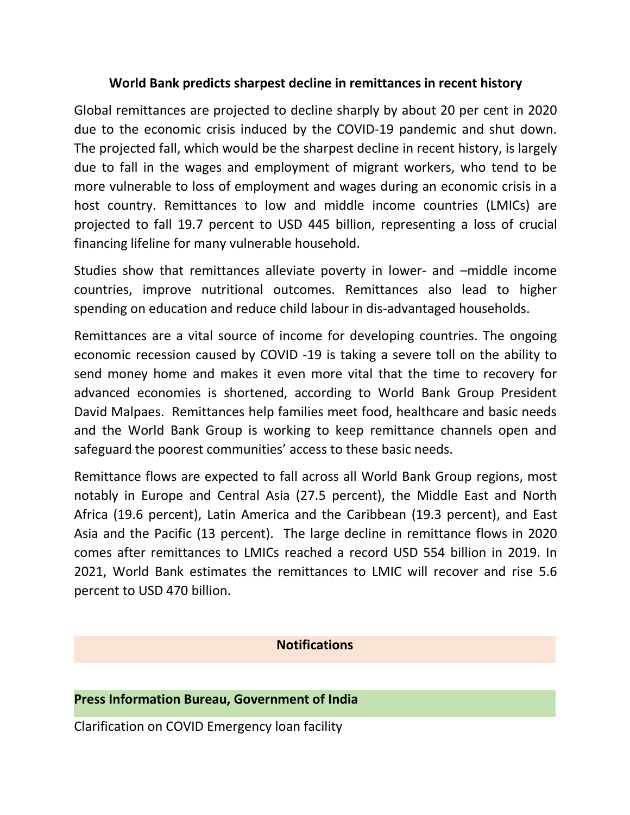## **World Bank predicts sharpest decline in remittances in recent history**

Global remittances are projected to decline sharply by about 20 per cent in 2020 due to the economic crisis induced by the COVID-19 pandemic and shut down. The projected fall, which would be the sharpest decline in recent history, is largely due to fall in the wages and employment of migrant workers, who tend to be more vulnerable to loss of employment and wages during an economic crisis in a host country. Remittances to low and middle income countries (LMICs) are projected to fall 19.7 percent to USD 445 billion, representing a loss of crucial financing lifeline for many vulnerable household.

Studies show that remittances alleviate poverty in lower- and –middle income countries, improve nutritional outcomes. Remittances also lead to higher spending on education and reduce child labour in dis-advantaged households.

Remittances are a vital source of income for developing countries. The ongoing economic recession caused by COVID -19 is taking a severe toll on the ability to send money home and makes it even more vital that the time to recovery for advanced economies is shortened, according to World Bank Group President David Malpaes. Remittances help families meet food, healthcare and basic needs and the World Bank Group is working to keep remittance channels open and safeguard the poorest communities' access to these basic needs.

Remittance flows are expected to fall across all World Bank Group regions, most notably in Europe and Central Asia (27.5 percent), the Middle East and North Africa (19.6 percent), Latin America and the Caribbean (19.3 percent), and East Asia and the Pacific (13 percent). The large decline in remittance flows in 2020 comes after remittances to LMICs reached a record USD 554 billion in 2019. In 2021, World Bank estimates the remittances to LMIC will recover and rise 5.6 percent to USD 470 billion.

## **Notifications**

## **Press Information Bureau, Government of India**

Clarification on COVID Emergency loan facility